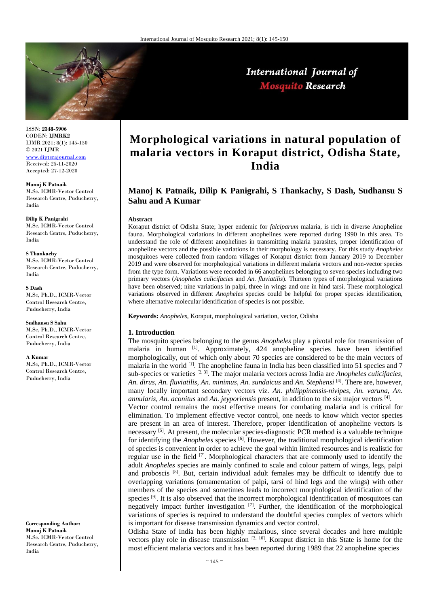

# International Journal of **Mosquito Research**

ISSN: **2348-5906** CODEN: **IJMRK2** IJMR 2021; 8(1): 145-150 © 2021 IJMR <www.dipterajournal.com>

Received: 25-11-2020 Accepted: 27-12-2020

**Manoj K Patnaik** M.Sc. ICMR-Vector Control Research Centre, Puducherry, India

**Dilip K Panigrahi** M.Sc. ICMR-Vector Control Research Centre, Puducherry, India

**S Thankachy** M.Sc. ICMR-Vector Control Research Centre, Puducherry, India

**S Dash** M.Sc, Ph.D., ICMR-Vector Control Research Centre, Puducherry, India

**Sudhansu S Sahu** M.Sc, Ph.D., ICMR-Vector Control Research Centre, Puducherry, India

**A Kumar**

M.Sc, Ph.D., ICMR-Vector Control Research Centre, Puducherry, India

**Corresponding Author: Manoj K Patnaik** M.Sc. ICMR-Vector Control Research Centre, Puducherry, India

# **Morphological variations in natural population of malaria vectors in Koraput district, Odisha State, India**

# **Manoj K Patnaik, Dilip K Panigrahi, S Thankachy, S Dash, Sudhansu S Sahu and A Kumar**

#### **Abstract**

Koraput district of Odisha State; hyper endemic for *falciparum* malaria, is rich in diverse Anopheline fauna. Morphological variations in different anophelines were reported during 1990 in this area. To understand the role of different anophelines in transmitting malaria parasites, proper identification of anopheline vectors and the possible variations in their morphology is necessary. For this study *Anopheles* mosquitoes were collected from random villages of Koraput district from January 2019 to December 2019 and were observed for morphological variations in different malaria vectors and non-vector species from the type form. Variations were recorded in 66 anophelines belonging to seven species including two primary vectors (*Anopheles culicifacies* and *An. fluviatilis*). Thirteen types of morphological variations have been observed; nine variations in palpi, three in wings and one in hind tarsi. These morphological variations observed in different *Anopheles* species could be helpful for proper species identification, where alternative molecular identification of species is not possible.

**Keywords:** *Anopheles,* Koraput, morphological variation, vector, Odisha

#### **1. Introduction**

The mosquito species belonging to the genus *Anopheles* play a pivotal role for transmission of malaria in human  $\left[1\right]$ . Approximately, 424 anopheline species have been identified morphologically, out of which only about 70 species are considered to be the main vectors of malaria in the world  $\left[1\right]$ . The anopheline fauna in India has been classified into 51 species and 7 sub-species or varieties [2, 3]. The major malaria vectors across India are *Anopheles culicifacies, An. dirus, An. fluviatilis, An. minimus, An. sundaicus* and *An. Stephensi* [4]. There are, however, many locally important secondary vectors viz. *An. philippinensis-nivipes, An. varuna, An. annularis, An. aconitus* and *An. jeyporiensis* present, in addition to the six major vectors [4] .

Vector control remains the most effective means for combating malaria and is critical for elimination. To implement effective vector control, one needs to know which vector species are present in an area of interest. Therefore, proper identification of anopheline vectors is necessary <sup>[5]</sup>. At present, the molecular species-diagnostic PCR method is a valuable technique for identifying the *Anopheles* species [6]. However, the traditional morphological identification of species is convenient in order to achieve the goal within limited resources and is realistic for regular use in the field [7]. Morphological characters that are commonly used to identify the adult *Anopheles* species are mainly confined to scale and colour pattern of wings, legs, palpi and proboscis  $[8]$ . But, certain individual adult females may be difficult to identify due to overlapping variations (ornamentation of palpi, tarsi of hind legs and the wings) with other members of the species and sometimes leads to incorrect morphological identification of the species <sup>[9]</sup>. It is also observed that the incorrect morphological identification of mosquitoes can negatively impact further investigation [7]. Further, the identification of the morphological variations of species is required to understand the doubtful species complex of vectors which is important for disease transmission dynamics and vector control.

Odisha State of India has been highly malarious, since several decades and here multiple vectors play role in disease transmission [3, 10]. Koraput district in this State is home for the most efficient malaria vectors and it has been reported during 1989 that 22 anopheline species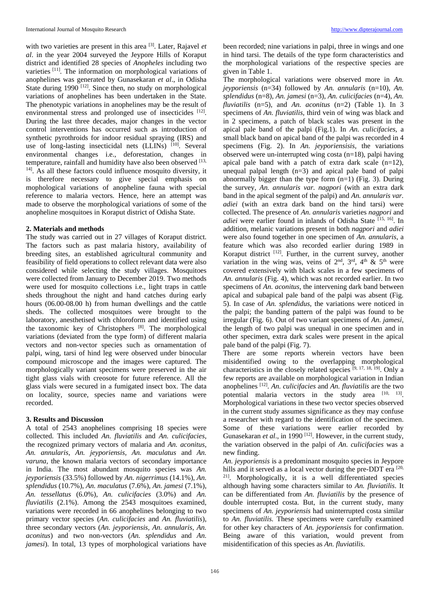with two varieties are present in this area [3]. Later, Rajavel *et al*. in the year 2004 surveyed the Jeypore Hills of Koraput district and identified 28 species of *Anopheles* including two varieties <sup>[11]</sup>. The information on morphological variations of anophelines was generated by Gunasekaran *et al*., in Odisha State during  $1990$  <sup>[12]</sup>. Since then, no study on morphological variations of anophelines has been undertaken in the State. The phenotypic variations in anophelines may be the result of environmental stress and prolonged use of insecticides [12]. During the last three decades, major changes in the vector control interventions has occurred such as introduction of synthetic pyrothroids for indoor residual spraying (IRS) and use of long-lasting insecticidal nets (LLINs) [10]. Several environmental changes i.e., deforestation, changes in temperature, rainfall and humidity have also been observed [13, <sup>14]</sup>. As all these factors could influence mosquito diversity, it is therefore necessary to give special emphasis on mophological variations of anopheline fauna with special reference to malaria vectors. Hence, here an attempt was made to observe the morphological variations of some of the anopheline mosquitoes in Koraput district of Odisha State.

### **2. Materials and methods**

The study was carried out in 27 villages of Koraput district. The factors such as past malaria history, availability of breeding sites, an established agricultural community and feasibility of field operations to collect relevant data were also considered while selecting the study villages. Mosquitoes were collected from January to December 2019. Two methods were used for mosquito collections i.e., light traps in cattle sheds throughout the night and hand catches during early hours (06.00-08.00 h) from human dwellings and the cattle sheds. The collected mosquitoes were brought to the laboratory, anesthetised with chloroform and identified using the taxonomic key of Christophers [8]. The morphological variations (deviated from the type form) of different malaria vectors and non-vector species such as ornamentation of palpi, wing, tarsi of hind leg were observed under binocular compound microscope and the images were captured. The morphologically variant specimens were preserved in the air tight glass vials with creosote for future reference. All the glass vials were secured in a fumigated insect box. The data on locality, source, species name and variations were recorded.

### **3. Results and Discussion**

A total of 2543 anophelines comprising 18 species were collected. This included *An. fluviatilis* and *An. culicifacies,*  the recognized primary vectors of malaria and *An. aconitus, An. annularis, An. jeyporiensis, An. maculatus* and *An. varuna*, the known malaria vectors of secondary importance in India. The most abundant mosquito species was *An. jeyporiensis* (33.5%) followed by *An. nigerrimus* (14.1%), *An. splendidus* (10.7%), *An. maculatus* (7.6%), *An. jamesi* (7.1%), *An. tessellatus* (6.0%), *An. culicifacies* (3.0%) and *An. fluviatilis* (2.1%). Among the 2543 mosquitoes examined, variations were recorded in 66 anophelines belonging to two primary vector species (*An. culicifacies* and *An. fluviatilis*), three secondary vectors (*An. jeyporiensis, An. annularis, An. aconitus*) and two non-vectors (*An. splendidus* and *An. jamesi*). In total, 13 types of morphological variations have been recorded; nine variations in palpi, three in wings and one in hind tarsi. The details of the type form characteristics and the morphological variations of the respective species are given in Table 1.

The morphological variations were observed more in *An. jeyporiensis* (n=34) followed by *An. annularis* (n=10), *An. splendidus* (n=8), *An. jamesi* (n=3), *An. culicifacies* (n=4), *An. fluviatilis* (n=5), and *An. aconitus* (n=2) (Table 1). In 3 specimens of *An. fluviatilis,* third vein of wing was black and in 2 specimens, a patch of black scales was present in the apical pale band of the palpi (Fig.1). In *An. culicifacies,* a small black band on apical band of the palpi was recorded in 4 specimens (Fig. 2). In *An. jeyporiensisis,* the variations observed were un-interrupted wing costa (n=18), palpi having apical pale band with a patch of extra dark scale  $(n=12)$ , unequal palpal length  $(n=3)$  and apical pale band of palpi abnormally bigger than the type form (n=1) (Fig. 3). During the survey, *An. annularis var. nagpori* (with an extra dark band in the apical segment of the palpi) and *An. annularis var. adiei* (with an extra dark band on the hind tarsi) were collected. The presence of *An. annularis* varieties *nagpori* and *adiei* were earlier found in inlands of Odisha State <sup>[15, 16]</sup>. In addition, melanic variations present in both *nagpori* and *adiei*  were also found together in one specimen of *An. annularis*, a feature which was also recorded earlier during 1989 in Koraput district  $[12]$ . Further, in the current survey, another variation in the wing was, veins of  $2<sup>nd</sup>$ ,  $3<sup>rd</sup>$ ,  $4<sup>th</sup>$  &  $5<sup>th</sup>$  were covered extensively with black scales in a few specimens of *An. annularis* (Fig. 4), which was not recorded earlier. In two specimens of *An. aconitus*, the intervening dark band between apical and subapical pale band of the palpi was absent (Fig. 5). In case of *An. splendidus*, the variations were noticed in the palpi; the banding pattern of the palpi was found to be irregular (Fig. 6). Out of two variant specimens of *An. jamesi*, the length of two palpi was unequal in one specimen and in other specimen, extra dark scales were present in the apical pale band of the palpi (Fig. 7).

There are some reports wherein vectors have been misidentified owing to the overlapping morphological characteristics in the closely related species [9, 17, 18, 19]. Only a few reports are available on morphological variation in Indian anophelines [12] . *An. culicifacies* and *An. fluviatilis* are the two potential malaria vectors in the study area  $[10, 13]$ . Morphological variations in these two vector species observed in the current study assumes significance as they may confuse a researcher with regard to the identification of the specimen. Some of these variations were earlier recorded by Gunasekaran *et al.*, in 1990<sup>[12]</sup>. However, in the current study, the variation observed in the palpi of *An. culicifacies* was a new finding.

*An. jeyporiensis* is a predominant mosquito species in Jeypore hills and it served as a local vector during the pre-DDT era [20, <sup>21]</sup>. Morphologically, it is a well differentiated species although having some characters similar to *An. fluviatilis*. It can be differentiated from *An. fluviatilis* by the presence of double interrupted costa. But, in the current study, many specimens of *An. jeyporiensis* had uninterrupted costa similar to *An. fluviatilis.* These specimens were carefully examined for other key characters of *An. jeyporiensis* for confirmation. Being aware of this variation, would prevent from misidentification of this species as *An. fluviatilis*.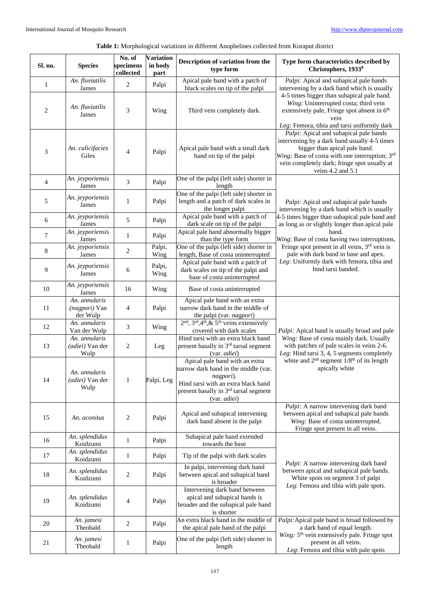## **Table 1:** Morphological variations in different Anophelines collected from Koraput district

| Sl. no.                     | <b>Species</b>                                    | No. of<br>specimens<br>collected | <b>Variation</b><br>in body<br>part | Description of variation from the<br>type form                                                                                                                                                  | Type form characteristics described by<br>Christophers, 19338                                                                                                                                                                                                                                                                                                                                                    |
|-----------------------------|---------------------------------------------------|----------------------------------|-------------------------------------|-------------------------------------------------------------------------------------------------------------------------------------------------------------------------------------------------|------------------------------------------------------------------------------------------------------------------------------------------------------------------------------------------------------------------------------------------------------------------------------------------------------------------------------------------------------------------------------------------------------------------|
| $\mathbf{1}$                | An. fluviatilis<br>James                          | 2                                | Palpi                               | Apical pale band with a patch of<br>black scales on tip of the palpi                                                                                                                            | Palpi: Apical and subapical pale bands<br>intervening by a dark band which is usually<br>4-5 times bigger than subapical pale band.<br>Wing: Uninterrupted costa; third vein<br>extensively pale, Fringe spot absent in 6 <sup>th</sup><br>vein<br>Leg: Femora, tibia and tarsi uniformly dark                                                                                                                   |
| $\overline{2}$              | An. fluviatilis<br>James                          | 3                                | Wing                                | Third vein completely dark.                                                                                                                                                                     |                                                                                                                                                                                                                                                                                                                                                                                                                  |
| $\ensuremath{\mathfrak{Z}}$ | An. culicifacies<br>Giles                         | 4                                | Palpi                               | Apical pale band with a small dark<br>band on tip of the palpi                                                                                                                                  | Palpi: Apical and subapical pale bands<br>intervening by a dark band usually 4-5 times<br>bigger than apical pale band.<br>Wing: Base of costa with one interruption; 3rd<br>vein completely dark; fringe spot usually at<br>veins $4.2$ and $5.1$                                                                                                                                                               |
| $\overline{4}$              | An. jeyporiensis<br>James                         | 3                                | Palpi                               | One of the palpi (left side) shorter in<br>length                                                                                                                                               |                                                                                                                                                                                                                                                                                                                                                                                                                  |
| 5                           | An. jeyporiensis<br>James                         | 1                                | Palpi                               | One of the palpi (left side) shorter in<br>length and a patch of dark scales in<br>the longer palpi                                                                                             | Palpi: Apical and subapical pale bands<br>intervening by a dark band which is usually<br>4-5 times bigger than subapical pale band and<br>as long as or slightly longer than apical pale<br>band.<br>Wing: Base of costa having two interruptions,<br>Fringe spot present in all veins, 3rd vein is<br>pale with dark band in base and apex.<br>Leg: Uniformly dark with femora, tibia and<br>hind tarsi banded. |
| 6                           | An. jeyporiensis<br>James                         | 5                                | Palpi                               | Apical pale band with a patch of<br>dark scale on tip of the palpi                                                                                                                              |                                                                                                                                                                                                                                                                                                                                                                                                                  |
| 7                           | An. jeyporiensis<br>James                         | 1                                | Palpi                               | Apical pale band abnormally bigger<br>than the type form                                                                                                                                        |                                                                                                                                                                                                                                                                                                                                                                                                                  |
| 8                           | An. jeyporiensis<br>James                         | 2                                | Palpi,<br>Wing                      | One of the palpi (left side) shorter in<br>length, Base of costa uninterrupted                                                                                                                  |                                                                                                                                                                                                                                                                                                                                                                                                                  |
| 9                           | An. jeyporiensis<br>James                         | 6                                | Palpi,<br>Wing                      | Apical pale band with a patch of<br>dark scales on tip of the palpi and<br>base of costa uninterrupted                                                                                          |                                                                                                                                                                                                                                                                                                                                                                                                                  |
| 10                          | An. jeyporiensis<br>James                         | 16                               | Wing                                | Base of costa uninterrupted                                                                                                                                                                     |                                                                                                                                                                                                                                                                                                                                                                                                                  |
| 11                          | An. annularis<br>(nagpori) Van<br>der Wulp        | 4                                | Palpi                               | Apical pale band with an extra<br>narrow dark band in the middle of<br>the palpi (var. nagpori)                                                                                                 |                                                                                                                                                                                                                                                                                                                                                                                                                  |
| 12                          | An. annularis<br>Van der Wulp                     | 3                                | Wing                                | $2nd$ , $3rd$ , $4th$ , $\&$ 5 <sup>th</sup> veins extensively<br>covered with dark scales                                                                                                      | Palpi: Apical band is usually broad and pale                                                                                                                                                                                                                                                                                                                                                                     |
| 13                          | An. annularis<br>(adiei) Van der<br>Wulp          | 2                                | Leg                                 | Hind tarsi with an extra black band<br>present basally in 3rd tarsal segment<br>(var. <i>adiei</i> )                                                                                            | Wing: Base of costa mainly dark. Usually<br>with patches of pale scales in veins 2-6.<br>Leg: Hind tarsi 3, 4, 5 segments completely<br>white and $2nd$ segment $1/8th$ of its length<br>apically white                                                                                                                                                                                                          |
| 14                          | An. annularis<br>( <i>adiei</i> ) Van der<br>Wulp | $\mathbf{1}$                     | Palpi, Leg                          | Apical pale band with an extra<br>narrow dark band in the middle (var.<br>nagpori).<br>Hind tarsi with an extra black band<br>present basally in 3 <sup>rd</sup> tarsal segment<br>(var. adiei) |                                                                                                                                                                                                                                                                                                                                                                                                                  |
| 15                          | An. aconitus                                      | 2                                | Palpi                               | Apical and subapical intervening<br>dark band absent in the palpi                                                                                                                               | Palpi: A narrow intervening dark band<br>between apical and subapical pale bands<br>Wing: Base of costa uninterrupted.<br>Fringe spot present in all veins.                                                                                                                                                                                                                                                      |
| 16                          | An. splendidus<br>Koidzumi                        | $\mathbf{1}$                     | Palpi                               | Subapical pale band extended<br>towards the base                                                                                                                                                |                                                                                                                                                                                                                                                                                                                                                                                                                  |
| 17                          | An. splendidus<br>Koidzumi                        | 1                                | Palpi                               | Tip of the palpi with dark scales                                                                                                                                                               | Palpi: A narrow intervening dark band<br>between apical and subapical pale bands.<br>White spots on segment 3 of palpi<br>Leg: Femora and tibia with pale spots.                                                                                                                                                                                                                                                 |
| 18                          | An. splendidus<br>Koidzumi                        | 2                                | Palpi                               | In palpi, intervening dark band<br>between apical and subapical band<br>is broader                                                                                                              |                                                                                                                                                                                                                                                                                                                                                                                                                  |
| 19                          | An. splendidus<br>Koidzumi                        | 4                                | Palpi                               | Intervening dark band between<br>apical and subapical bands is<br>broader and the subapical pale band<br>is shorter                                                                             |                                                                                                                                                                                                                                                                                                                                                                                                                  |
| 20                          | An. jamesi<br>Theobald                            | 2                                | Palpi                               | An extra black band in the middle of<br>the apical pale band of the palpi                                                                                                                       | Palpi: Apical pale band is broad followed by<br>a dark band of equal length.                                                                                                                                                                                                                                                                                                                                     |
| 21                          | An. jamesi<br>Theobald                            | 1                                | Palpi                               | One of the palpi (left side) shorter in<br>length                                                                                                                                               | Wing: 5 <sup>th</sup> vein extensively pale. Fringe spot<br>present in all veins.<br>Leg: Femora and tibia with pale spots                                                                                                                                                                                                                                                                                       |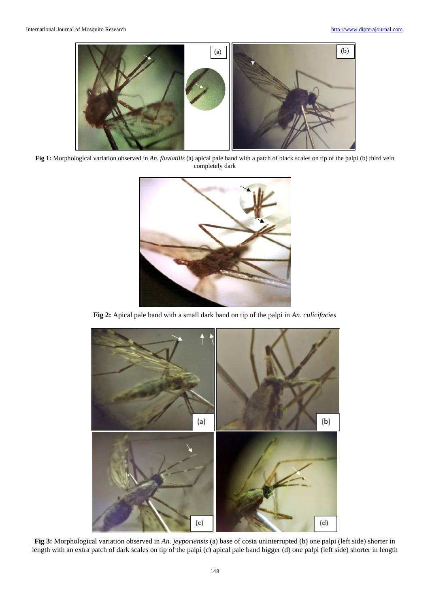

**Fig 1:** Morphological variation observed in *An. fluviatilis* (a) apical pale band with a patch of black scales on tip of the palpi (b) third vein completely dark



**Fig 2:** Apical pale band with a small dark band on tip of the palpi in *An. culicifacies*



**Fig 3:** Morphological variation observed in *An. jeyporiensis* (a) base of costa uninterrupted (b) one palpi (left side) shorter in length with an extra patch of dark scales on tip of the palpi (c) apical pale band bigger (d) one palpi (left side) shorter in length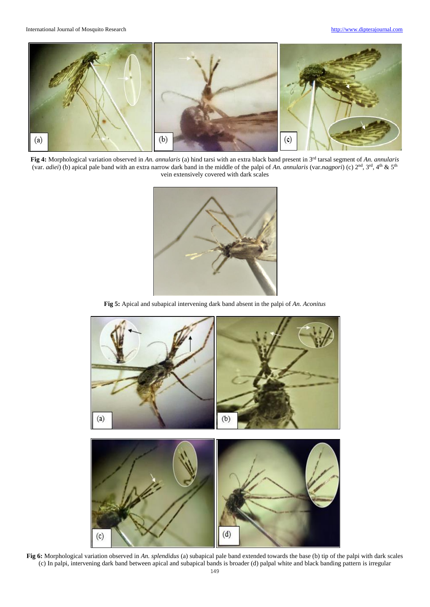

**Fig 4:** Morphological variation observed in *An. annularis* (a) hind tarsi with an extra black band present in 3rd tarsal segment of *An. annularis*  (var. *adiei*) (b) apical pale band with an extra narrow dark band in the middle of the palpi of *An. annularis* (var.*nagpori*) (c) 2nd, 3rd, 4th & 5th vein extensively covered with dark scales



**Fig 5:** Apical and subapical intervening dark band absent in the palpi of *An. Aconitus*



**Fig 6:** Morphological variation observed in *An. splendidus* (a) subapical pale band extended towards the base (b) tip of the palpi with dark scales (c) In palpi, intervening dark band between apical and subapical bands is broader (d) palpal white and black banding pattern is irregular